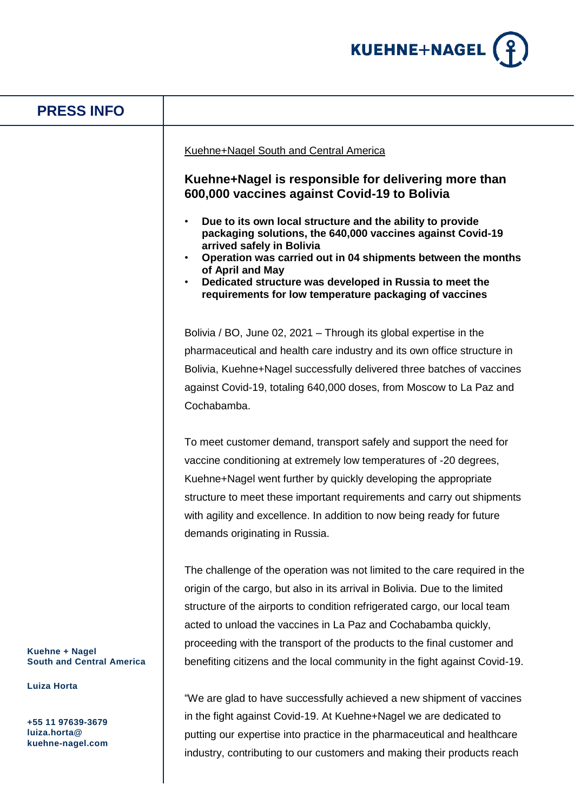

| <b>PRESS INFO</b>                                  |                                                                                                                                                                                                                                                                                                                                                                                                                                                                   |
|----------------------------------------------------|-------------------------------------------------------------------------------------------------------------------------------------------------------------------------------------------------------------------------------------------------------------------------------------------------------------------------------------------------------------------------------------------------------------------------------------------------------------------|
|                                                    | Kuehne+Nagel South and Central America                                                                                                                                                                                                                                                                                                                                                                                                                            |
|                                                    | Kuehne+Nagel is responsible for delivering more than<br>600,000 vaccines against Covid-19 to Bolivia                                                                                                                                                                                                                                                                                                                                                              |
|                                                    | Due to its own local structure and the ability to provide<br>$\bullet$<br>packaging solutions, the 640,000 vaccines against Covid-19<br>arrived safely in Bolivia<br>Operation was carried out in 04 shipments between the months<br>$\bullet$<br>of April and May<br>Dedicated structure was developed in Russia to meet the<br>$\bullet$<br>requirements for low temperature packaging of vaccines                                                              |
|                                                    | Bolivia / BO, June 02, 2021 - Through its global expertise in the                                                                                                                                                                                                                                                                                                                                                                                                 |
|                                                    | pharmaceutical and health care industry and its own office structure in                                                                                                                                                                                                                                                                                                                                                                                           |
|                                                    | Bolivia, Kuehne+Nagel successfully delivered three batches of vaccines                                                                                                                                                                                                                                                                                                                                                                                            |
|                                                    | against Covid-19, totaling 640,000 doses, from Moscow to La Paz and                                                                                                                                                                                                                                                                                                                                                                                               |
|                                                    | Cochabamba.                                                                                                                                                                                                                                                                                                                                                                                                                                                       |
|                                                    | To meet customer demand, transport safely and support the need for<br>vaccine conditioning at extremely low temperatures of -20 degrees,<br>Kuehne+Nagel went further by quickly developing the appropriate<br>structure to meet these important requirements and carry out shipments<br>with agility and excellence. In addition to now being ready for future<br>demands originating in Russia.                                                                 |
| Kuehne + Nagel<br><b>South and Central America</b> | The challenge of the operation was not limited to the care required in the<br>origin of the cargo, but also in its arrival in Bolivia. Due to the limited<br>structure of the airports to condition refrigerated cargo, our local team<br>acted to unload the vaccines in La Paz and Cochabamba quickly,<br>proceeding with the transport of the products to the final customer and<br>benefiting citizens and the local community in the fight against Covid-19. |
| <b>Luiza Horta</b>                                 |                                                                                                                                                                                                                                                                                                                                                                                                                                                                   |
|                                                    | "We are glad to have successfully achieved a new shipment of vaccines                                                                                                                                                                                                                                                                                                                                                                                             |
| +55 11 97639-3679                                  | in the fight against Covid-19. At Kuehne+Nagel we are dedicated to                                                                                                                                                                                                                                                                                                                                                                                                |
| luiza.horta@<br>kuehne-nagel.com                   | putting our expertise into practice in the pharmaceutical and healthcare                                                                                                                                                                                                                                                                                                                                                                                          |

٦

industry, contributing to our customers and making their products reach